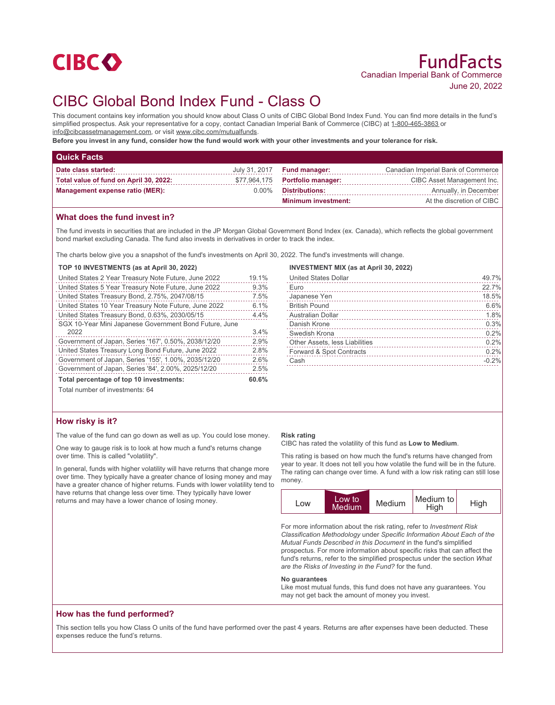

# CIBC Global Bond Index Fund - Class O

This document contains key information you should know about Class O units of CIBC Global Bond Index Fund. You can find more details in the fund's simplified prospectus. Ask your representative for a copy, contact Canadian Imperial Bank of Commerce (CIBC) at 1-800-465-3863 or info@cibcassetmanagement.com, or visit www.cibc.com/mutualfunds.

**Before you invest in any fund, consider how the fund would work with your other investments and your tolerance for risk.**

| <b>Quick Facts</b>                     |          |                                    |                                    |
|----------------------------------------|----------|------------------------------------|------------------------------------|
| Date class started:                    |          | July 31, 2017 <b>Fund manager:</b> | Canadian Imperial Bank of Commerce |
| Total value of fund on April 30, 2022: |          | \$77,964,175 Portfolio manager:    | CIBC Asset Management Inc.         |
| <b>Management expense ratio (MER):</b> | $0.00\%$ | <b>Distributions:</b>              | Annually, in December              |
|                                        |          | <b>Minimum investment:</b>         | At the discretion of CIBC          |

## **What does the fund invest in?**

The fund invests in securities that are included in the JP Morgan Global Government Bond Index (ex. Canada), which reflects the global government bond market excluding Canada. The fund also invests in derivatives in order to track the index.

The charts below give you a snapshot of the fund's investments on April 30, 2022. The fund's investments will change.

#### **TOP 10 INVESTMENTS (as at April 30, 2022)**

| United States 2 Year Treasury Note Future, June 2022   | 19.1% |
|--------------------------------------------------------|-------|
| United States 5 Year Treasury Note Future, June 2022   | 9.3%  |
| United States Treasury Bond, 2.75%, 2047/08/15         | 7.5%  |
| United States 10 Year Treasury Note Future, June 2022  | 6.1%  |
| United States Treasury Bond, 0.63%, 2030/05/15         | 4.4%  |
| SGX 10-Year Mini Japanese Government Bond Future, June |       |
| 2022                                                   | 3.4%  |
| Government of Japan, Series '167', 0.50%, 2038/12/20   | 2.9%  |
| United States Treasury Long Bond Future, June 2022     | 2.8%  |
| Government of Japan, Series '155', 1.00%, 2035/12/20   | 2.6%  |
| Government of Japan, Series '84', 2.00%, 2025/12/20    | 2.5%  |
| Total percentage of top 10 investments:                |       |
| Total number of investments: 64                        |       |

| <b>INVESTMENT MIX (as at April 30, 2022)</b>                                                                                                                                                                                                                    |       |
|-----------------------------------------------------------------------------------------------------------------------------------------------------------------------------------------------------------------------------------------------------------------|-------|
| <b>United States Dollar</b>                                                                                                                                                                                                                                     | 49.7% |
| Euro                                                                                                                                                                                                                                                            | 22.7% |
| Japanese Yen                                                                                                                                                                                                                                                    | 18.5% |
| <b>British Pound</b>                                                                                                                                                                                                                                            | 6.6%  |
| Australian Dollar                                                                                                                                                                                                                                               | 1.8%  |
| Danish Krone                                                                                                                                                                                                                                                    | 0.3%  |
| Swedish Krona                                                                                                                                                                                                                                                   | 0.2%  |
| Other Assets, less Liabilities<br>and a construction of the construction of the construction of the construction of the construction of the construction of the construction of the construction of the construction of the construction of the construction of | 0.2%  |
| Forward & Spot Contracts                                                                                                                                                                                                                                        | 0.2%  |
|                                                                                                                                                                                                                                                                 |       |

Cash -0.2%

## **How risky is it?**

The value of the fund can go down as well as up. You could lose money.

One way to gauge risk is to look at how much a fund's returns change over time. This is called "volatility".

In general, funds with higher volatility will have returns that change more over time. They typically have a greater chance of losing money and may have a greater chance of higher returns. Funds with lower volatility tend to have returns that change less over time. They typically have lower returns and may have a lower chance of losing money.

#### **Risk rating**

CIBC has rated the volatility of this fund as **Low to Medium**.

This rating is based on how much the fund's returns have changed from year to year. It does not tell you how volatile the fund will be in the future. The rating can change over time. A fund with a low risk rating can still lose money.



For more information about the risk rating, refer to *Investment Risk Classification Methodology* under *Specific Information About Each of the Mutual Funds Described in this Document* in the fund's simplified prospectus. For more information about specific risks that can affect the fund's returns, refer to the simplified prospectus under the section *What are the Risks of Investing in the Fund?* for the fund.

#### **No guarantees**

Like most mutual funds, this fund does not have any guarantees. You may not get back the amount of money you invest.

## **How has the fund performed?**

This section tells you how Class O units of the fund have performed over the past 4 years. Returns are after expenses have been deducted. These expenses reduce the fund's returns.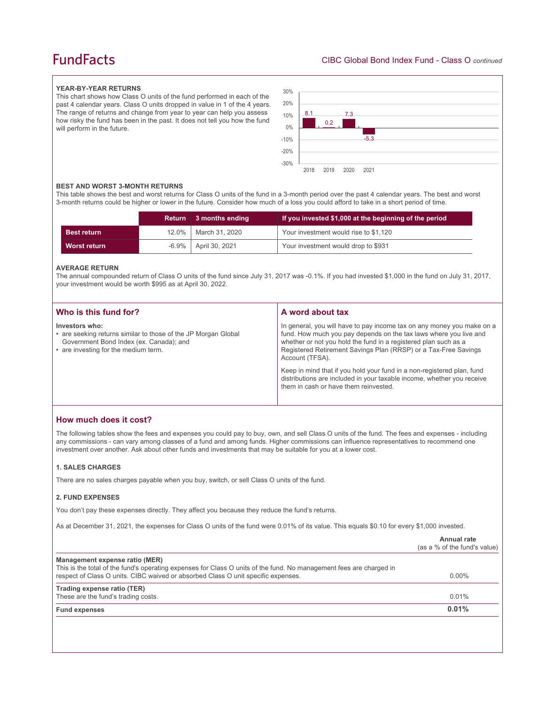## **FundFacts**

#### **YEAR-BY-YEAR RETURNS**

This chart shows how Class O units of the fund performed in each of the past 4 calendar years. Class O units dropped in value in 1 of the 4 years. The range of returns and change from year to year can help you assess how risky the fund has been in the past. It does not tell you how the fund will perform in the future.



#### **BEST AND WORST 3-MONTH RETURNS**

This table shows the best and worst returns for Class O units of the fund in a 3-month period over the past 4 calendar years. The best and worst 3-month returns could be higher or lower in the future. Consider how much of a loss you could afford to take in a short period of time.

|                    |          | Return 3 months ending | If you invested \$1,000 at the beginning of the period |
|--------------------|----------|------------------------|--------------------------------------------------------|
| <b>Best return</b> |          | 12.0%   March 31, 2020 | Your investment would rise to \$1,120                  |
| Worst return       | $-6.9\%$ | April 30, 2021         | Your investment would drop to \$931                    |

#### **AVERAGE RETURN**

The annual compounded return of Class O units of the fund since July 31, 2017 was -0.1%. If you had invested \$1,000 in the fund on July 31, 2017, your investment would be worth \$995 as at April 30, 2022.

| Who is this fund for?                                                                                                                                               | A word about tax                                                                                                                                                                                                                                                                                                                                                                                                                                                                                  |
|---------------------------------------------------------------------------------------------------------------------------------------------------------------------|---------------------------------------------------------------------------------------------------------------------------------------------------------------------------------------------------------------------------------------------------------------------------------------------------------------------------------------------------------------------------------------------------------------------------------------------------------------------------------------------------|
| Investors who:<br>• are seeking returns similar to those of the JP Morgan Global<br>Government Bond Index (ex. Canada); and<br>• are investing for the medium term. | In general, you will have to pay income tax on any money you make on a<br>fund. How much you pay depends on the tax laws where you live and<br>whether or not you hold the fund in a registered plan such as a<br>Registered Retirement Savings Plan (RRSP) or a Tax-Free Savings<br>Account (TFSA).<br>Keep in mind that if you hold your fund in a non-registered plan, fund<br>distributions are included in your taxable income, whether you receive<br>them in cash or have them reinvested. |
|                                                                                                                                                                     |                                                                                                                                                                                                                                                                                                                                                                                                                                                                                                   |

## **How much does it cost?**

The following tables show the fees and expenses you could pay to buy, own, and sell Class O units of the fund. The fees and expenses - including any commissions - can vary among classes of a fund and among funds. Higher commissions can influence representatives to recommend one investment over another. Ask about other funds and investments that may be suitable for you at a lower cost.

#### **1. SALES CHARGES**

There are no sales charges payable when you buy, switch, or sell Class O units of the fund.

#### **2. FUND EXPENSES**

You don't pay these expenses directly. They affect you because they reduce the fund's returns.

As at December 31, 2021, the expenses for Class O units of the fund were 0.01% of its value. This equals \$0.10 for every \$1,000 invested.

|                                                                                                                                                                                                                                            | Annual rate<br>(as a % of the fund's value) |
|--------------------------------------------------------------------------------------------------------------------------------------------------------------------------------------------------------------------------------------------|---------------------------------------------|
| Management expense ratio (MER)<br>This is the total of the fund's operating expenses for Class O units of the fund. No management fees are charged in<br>respect of Class O units. CIBC waived or absorbed Class O unit specific expenses. | $0.00\%$                                    |
| Trading expense ratio (TER)<br>These are the fund's trading costs.                                                                                                                                                                         | 0.01%                                       |
| <b>Fund expenses</b>                                                                                                                                                                                                                       | 0.01%                                       |